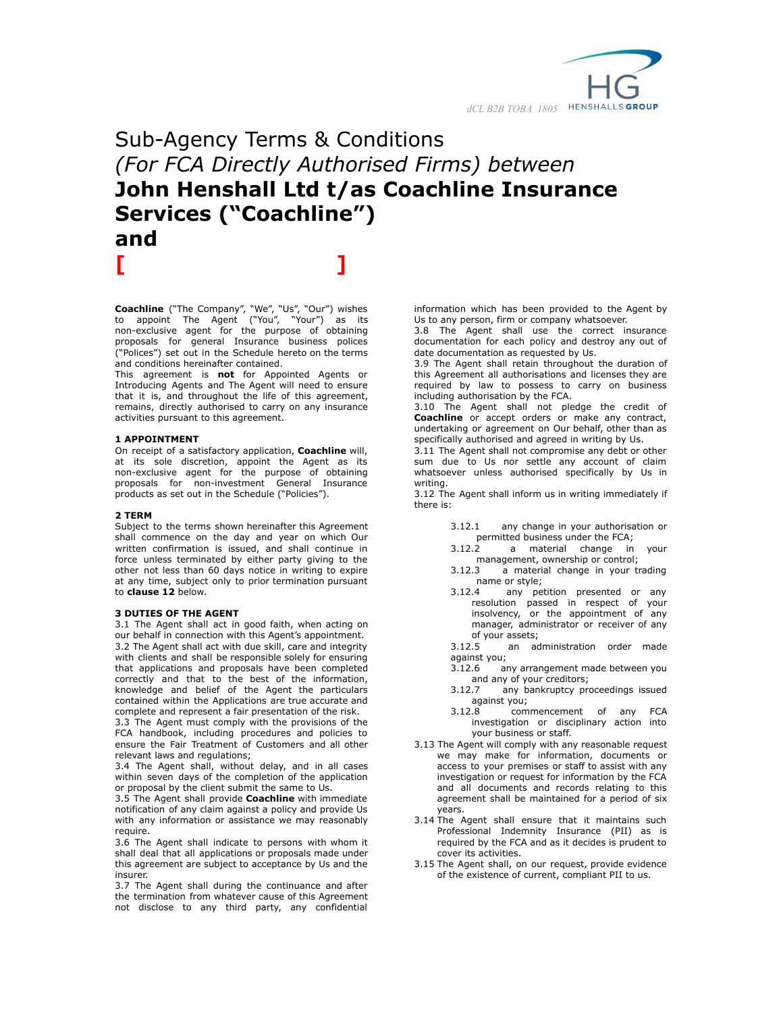

# Sub-Agency Terms & Conditions *(For FCA Directly Authorised Firms) between* **John Henshall Ltd t/as Coachline Insurance Services ("Coachline") and [ ]**

**Coachline** ("The Company", "We", "Us", "Our") wishes to appoint The Agent ("You", "Your") as its non-exclusive agent for the purpose of obtaining proposals for general Insurance business polices ("Polices") set out in the Schedule hereto on the terms and conditions hereinafter contained.

This agreement is **not** for Appointed Agents or Introducing Agents and The Agent will need to ensure that it is, and throughout the life of this agreement, remains, directly authorised to carry on any insurance activities pursuant to this agreement.

## **1 APPOINTMENT**

On receipt of a satisfactory application, **Coachline** will, at its sole discretion, appoint the Agent as its non-exclusive agent for the purpose of obtaining proposals for non-investment General Insurance products as set out in the Schedule ("Policies").

## **2 TERM**

Subject to the terms shown hereinafter this Agreement shall commence on the day and year on which Our written confirmation is issued, and shall continue in force unless terminated by either party giving to the other not less than 60 days notice in writing to expire at any time, subject only to prior termination pursuant to **clause 12** below.

#### **3 DUTIES OF THE AGENT**

3.1 The Agent shall act in good faith, when acting on our behalf in connection with this Agent's appointment. 3.2 The Agent shall act with due skill, care and integrity with clients and shall be responsible solely for ensuring that applications and proposals have been completed correctly and that to the best of the information, knowledge and belief of the Agent the particulars contained within the Applications are true accurate and complete and represent a fair presentation of the risk.

3.3 The Agent must comply with the provisions of the FCA handbook, including procedures and policies to ensure the Fair Treatment of Customers and all other relevant laws and regulations;

3.4 The Agent shall, without delay, and in all cases within seven days of the completion of the application or proposal by the client submit the same to Us.

3.5 The Agent shall provide **Coachline** with immediate notification of any claim against a policy and provide Us with any information or assistance we may reasonably require.

3.6 The Agent shall indicate to persons with whom it shall deal that all applications or proposals made under this agreement are subject to acceptance by Us and the insurer.

3.7 The Agent shall during the continuance and after the termination from whatever cause of this Agreement not disclose to any third party, any confidential

information which has been provided to the Agent by Us to any person, firm or company whatsoever.

3.8 The Agent shall use the correct insurance documentation for each policy and destroy any out of date documentation as requested by Us.

3.9 The Agent shall retain throughout the duration of this Agreement all authorisations and licenses they are required by law to possess to carry on business including authorisation by the FCA.

3.10 The Agent shall not pledge the credit of **Coachline** or accept orders or make any contract, undertaking or agreement on Our behalf, other than as specifically authorised and agreed in writing by Us.

3.11 The Agent shall not compromise any debt or other sum due to Us nor settle any account of claim whatsoever unless authorised specifically by Us in writing.

3.12 The Agent shall inform us in writing immediately if there is:

- 3.12.1 any change in your authorisation or permitted business under the FCA;<br>3.12.2 a material change in
- a material change in your management, ownership or control;
- 3.12.3 a material change in your trading name or style;
- 3.12.4 any petition presented or any resolution passed in respect of your insolvency, or the appointment of any manager, administrator or receiver of any of your assets;<br>3.12.5 an are
- an administration order made against you;
- 3.12.6 any arrangement made between you and any of your creditors;
- 3.12.7 any bankruptcy proceedings issued against you;
- 3.12.8 commencement of any FCA investigation or disciplinary action into your business or staff.
- 3.13 The Agent will comply with any reasonable request we may make for information, documents or access to your premises or staff to assist with any investigation or request for information by the FCA and all documents and records relating to this agreement shall be maintained for a period of six years.
- 3.14 The Agent shall ensure that it maintains such Professional Indemnity Insurance (PII) as is required by the FCA and as it decides is prudent to cover its activities.
- 3.15 The Agent shall, on our request, provide evidence of the existence of current, compliant PII to us.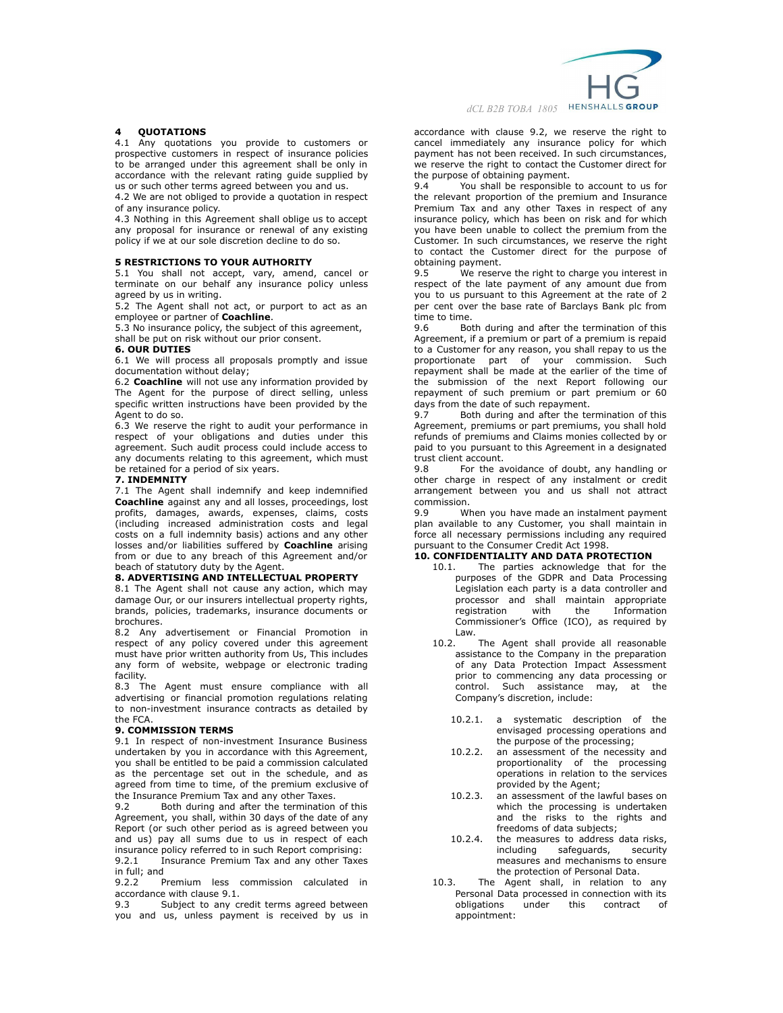

# **4 QUOTATIONS**

4.1 Any quotations you provide to customers or prospective customers in respect of insurance policies to be arranged under this agreement shall be only in accordance with the relevant rating guide supplied by us or such other terms agreed between you and us.

4.2 We are not obliged to provide a quotation in respect of any insurance policy.

4.3 Nothing in this Agreement shall oblige us to accept any proposal for insurance or renewal of any existing policy if we at our sole discretion decline to do so.

#### **5 RESTRICTIONS TO YOUR AUTHORITY**

5.1 You shall not accept, vary, amend, cancel or terminate on our behalf any insurance policy unless agreed by us in writing.

5.2 The Agent shall not act, or purport to act as an employee or partner of **Coachline**.

5.3 No insurance policy, the subject of this agreement, shall be put on risk without our prior consent.

#### **6. OUR DUTIES**

6.1 We will process all proposals promptly and issue documentation without delay;

6.2 **Coachline** will not use any information provided by The Agent for the purpose of direct selling, unless specific written instructions have been provided by the Agent to do so.

6.3 We reserve the right to audit your performance in respect of your obligations and duties under this agreement. Such audit process could include access to any documents relating to this agreement, which must be retained for a period of six years.

## **7. INDEMNITY**

7.1 The Agent shall indemnify and keep indemnified **Coachline** against any and all losses, proceedings, lost profits, damages, awards, expenses, claims, costs (including increased administration costs and legal costs on a full indemnity basis) actions and any other losses and/or liabilities suffered by **Coachline** arising from or due to any breach of this Agreement and/or beach of statutory duty by the Agent.

# **8. ADVERTISING AND INTELLECTUAL PROPERTY**

8.1 The Agent shall not cause any action, which may damage Our, or our insurers intellectual property rights, brands, policies, trademarks, insurance documents or brochures.

8.2 Any advertisement or Financial Promotion in respect of any policy covered under this agreement must have prior written authority from Us, This includes any form of website, webpage or electronic trading facility.

8.3 The Agent must ensure compliance with all advertising or financial promotion regulations relating to non-investment insurance contracts as detailed by the FCA.

## **9. COMMISSION TERMS**

9.1 In respect of non-investment Insurance Business undertaken by you in accordance with this Agreement, you shall be entitled to be paid a commission calculated as the percentage set out in the schedule, and as agreed from time to time, of the premium exclusive of the Insurance Premium Tax and any other Taxes.

9.2 Both during and after the termination of this Agreement, you shall, within 30 days of the date of any Report (or such other period as is agreed between you and us) pay all sums due to us in respect of each insurance policy referred to in such Report comprising: 9.2.1 Insurance Premium Tax and any other Taxes

in full; and

9.2.2 Premium less commission calculated in accordance with clause 9.1.

9.3 Subject to any credit terms agreed between you and us, unless payment is received by us in accordance with clause 9.2, we reserve the right to cancel immediately any insurance policy for which payment has not been received. In such circumstances, we reserve the right to contact the Customer direct for the purpose of obtaining payment.

9.4 You shall be responsible to account to us for the relevant proportion of the premium and Insurance Premium Tax and any other Taxes in respect of any insurance policy, which has been on risk and for which you have been unable to collect the premium from the Customer. In such circumstances, we reserve the right to contact the Customer direct for the purpose of obtaining payment.<br>9.5 We resery

We reserve the right to charge you interest in respect of the late payment of any amount due from you to us pursuant to this Agreement at the rate of 2 per cent over the base rate of Barclays Bank plc from time to time.

9.6 Both during and after the termination of this Agreement, if a premium or part of a premium is repaid to a Customer for any reason, you shall repay to us the proportionate part of your commission. Such repayment shall be made at the earlier of the time of the submission of the next Report following our repayment of such premium or part premium or 60 days from the date of such repayment.

9.7 Both during and after the termination of this Agreement, premiums or part premiums, you shall hold refunds of premiums and Claims monies collected by or paid to you pursuant to this Agreement in a designated trust client account.

9.8 For the avoidance of doubt, any handling or other charge in respect of any instalment or credit arrangement between you and us shall not attract commission.

9.9 When you have made an instalment payment plan available to any Customer, you shall maintain in force all necessary permissions including any required pursuant to the Consumer Credit Act 1998.

## **10. CONFIDENTIALITY AND DATA PROTECTION**

- 10.1. The parties acknowledge that for the purposes of the GDPR and Data Processing Legislation each party is a data controller and processor and shall maintain appropriate<br>registration with the Information registration with the Information Commissioner's Office (ICO), as required by Law.
- 10.2. The Agent shall provide all reasonable assistance to the Company in the preparation of any Data Protection Impact Assessment prior to commencing any data processing or control. Such assistance may, at the Company's discretion, include:
	- 10.2.1. a systematic description of the envisaged processing operations and the purpose of the processing;
	- 10.2.2. an assessment of the necessity and proportionality of the processing operations in relation to the services provided by the Agent;
	- 10.2.3. an assessment of the lawful bases on which the processing is undertaken and the risks to the rights and freedoms of data subjects;
	- 10.2.4. the measures to address data risks, including safeguards, security measures and mechanisms to ensure the protection of Personal Data.
- 10.3. The Agent shall, in relation to any Personal Data processed in connection with its obligations under this contract of appointment: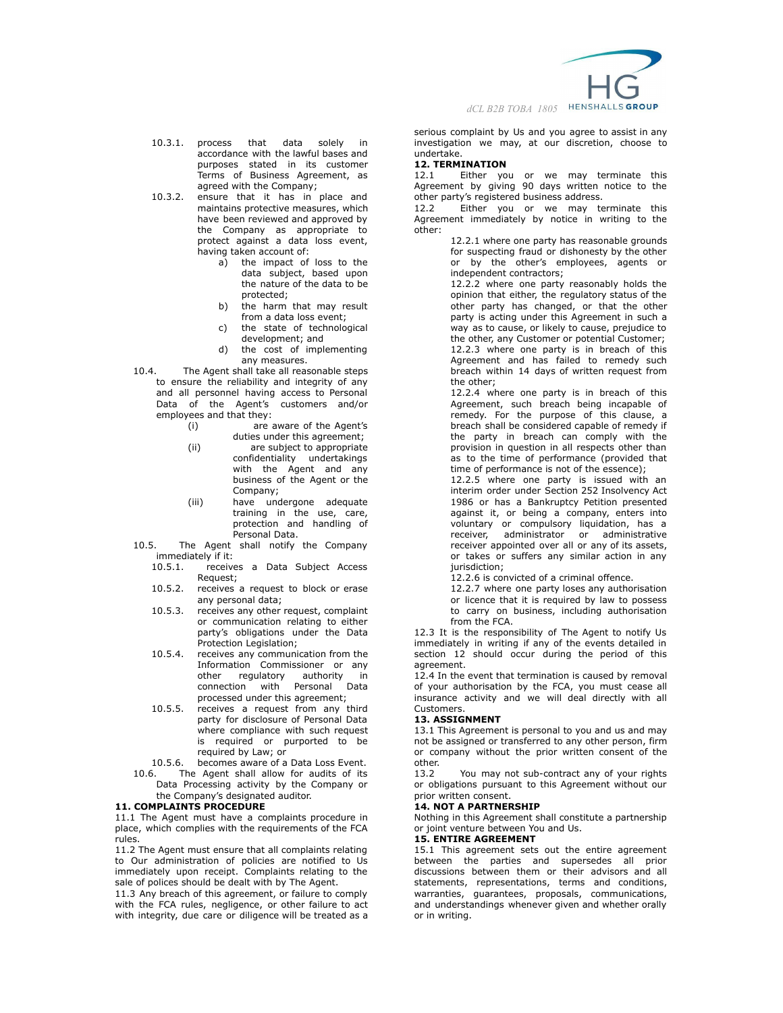

- 10.3.1. process that data solely in accordance with the lawful bases and purposes stated in its customer .<br>Terms of Business Agreement, as agreed with the Company;
- 10.3.2. ensure that it has in place and maintains protective measures, which have been reviewed and approved by the Company as appropriate to protect against a data loss event, having taken account of:
	- a) the impact of loss to the data subject, based upon the nature of the data to be protected;
	- b) the harm that may result from a data loss event;
	- c) the state of technological development; and
	- d) the cost of implementing any measures.
- 10.4. The Agent shall take all reasonable steps to ensure the reliability and integrity of any and all personnel having access to Personal Data of the Agent's customers and/or employees and that they:
	- (i) are aware of the Agent's duties under this agreement;
	- (ii) are subject to appropriate confidentiality undertakings with the Agent and any business of the Agent or the Company;
	- (iii) have undergone adequate training in the use, care, protection and handling of Personal Data.
- 10.5. The Agent shall notify the Company immediately if it:
	- 10.5.1. receives a Data Subject Access Request;
	- 10.5.2. receives a request to block or erase any personal data;
	- 10.5.3. receives any other request, complaint or communication relating to either party's obligations under the Data Protection Legislation;
	- 10.5.4. receives any communication from the Information Commissioner or any<br>other regulatory authority in regulatory authority in connection with Personal Data processed under this agreement;
	- 10.5.5. receives a request from any third party for disclosure of Personal Data where compliance with such request is required or purported to be required by Law; or
- 
- 10.5.6. becomes aware of a Data Loss Event.<br>10.6. The Agent shall allow for audits of its The Agent shall allow for audits of its Data Processing activity by the Company or the Company's designated auditor.

# **11. COMPLAINTS PROCEDURE**

11.1 The Agent must have a complaints procedure in place, which complies with the requirements of the FCA rules.

11.2 The Agent must ensure that all complaints relating to Our administration of policies are notified to Us immediately upon receipt. Complaints relating to the sale of polices should be dealt with by The Agent.

11.3 Any breach of this agreement, or failure to comply with the FCA rules, negligence, or other failure to act with integrity, due care or diligence will be treated as a serious complaint by Us and you agree to assist in any investigation we may, at our discretion, choose to undertake.

## **12. TERMINATION**

12.1 Either you or we may terminate this Agreement by giving 90 days written notice to the other party's registered business address.

12.2 Either you or we may terminate this Agreement immediately by notice in writing to the other:

12.2.1 where one party has reasonable grounds for suspecting fraud or dishonesty by the other or by the other's employees, agents or independent contractors;

12.2.2 where one party reasonably holds the opinion that either, the regulatory status of the other party has changed, or that the other party is acting under this Agreement in such a way as to cause, or likely to cause, prejudice to the other, any Customer or potential Customer; 12.2.3 where one party is in breach of this Agreement and has failed to remedy such breach within 14 days of written request from the other;

12.2.4 where one party is in breach of this Agreement, such breach being incapable of remedy. For the purpose of this clause, a breach shall be considered capable of remedy if the party in breach can comply with the provision in question in all respects other than as to the time of performance (provided that time of performance is not of the essence);

12.2.5 where one party is issued with an interim order under Section 252 Insolvency Act 1986 or has a Bankruptcy Petition presented against it, or being a company, enters into voluntary or compulsory liquidation, has a receiver, administrator or administrative receiver appointed over all or any of its assets, or takes or suffers any similar action in any jurisdiction;

12.2.6 is convicted of a criminal offence.

12.2.7 where one party loses any authorisation or licence that it is required by law to possess to carry on business, including authorisation from the FCA.

12.3 It is the responsibility of The Agent to notify Us immediately in writing if any of the events detailed in section 12 should occur during the period of this agreement.

12.4 In the event that termination is caused by removal of your authorisation by the FCA, you must cease all insurance activity and we will deal directly with all Customers.

# **13. ASSIGNMENT**

13.1 This Agreement is personal to you and us and may not be assigned or transferred to any other person, firm or company without the prior written consent of the other.<br>13.2

You may not sub-contract any of your rights or obligations pursuant to this Agreement without our prior written consent.

## **14. NOT A PARTNERSHIP**

Nothing in this Agreement shall constitute a partnership or joint venture between You and Us.

# **15. ENTIRE AGREEMENT**

15.1 This agreement sets out the entire agreement between the parties and supersedes all prior discussions between them or their advisors and all statements, representations, terms and conditions, warranties, guarantees, proposals, communications, and understandings whenever given and whether orally or in writing.